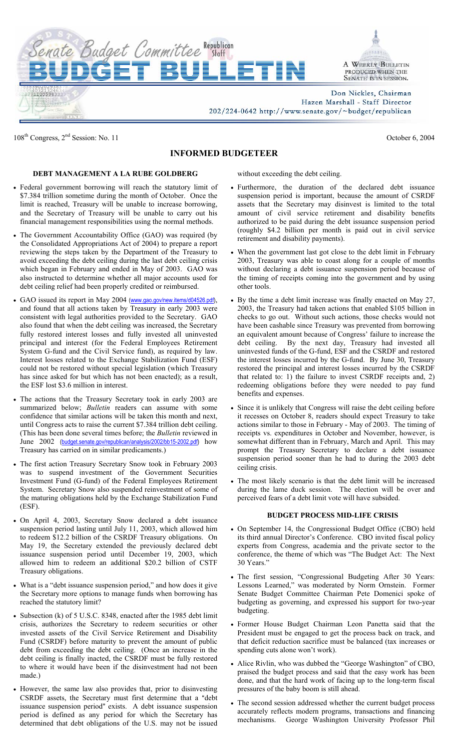

108<sup>th</sup> Congress, 2<sup>nd</sup> Session: No. 11 October 6, 2004

## **INFORMED BUDGETEER**

## **DEBT MANAGEMENT A LA RUBE GOLDBERG**

- Federal government borrowing will reach the statutory limit of \$7.384 trillion sometime during the month of October. Once the limit is reached, Treasury will be unable to increase borrowing, and the Secretary of Treasury will be unable to carry out his financial management responsibilities using the normal methods.
- The Government Accountability Office (GAO) was required (by the Consolidated Appropriations Act of 2004) to prepare a report reviewing the steps taken by the Department of the Treasury to avoid exceeding the debt ceiling during the last debt ceiling crisis which began in February and ended in May of 2003. GAO was also instructed to determine whether all major accounts used for debt ceiling relief had been properly credited or reimbursed.
- GAO issued its report in May 2004 (www.gao.gov/new.items/d04526.pdf), and found that all actions taken by Treasury in early 2003 were consistent with legal authorities provided to the Secretary. GAO also found that when the debt ceiling was increased, the Secretary fully restored interest losses and fully invested all uninvested principal and interest (for the Federal Employees Retirement System G-fund and the Civil Service fund), as required by law. Interest losses related to the Exchange Stabilization Fund (ESF) could not be restored without special legislation (which Treasury has since asked for but which has not been enacted); as a result, the ESF lost \$3.6 million in interest.
- The actions that the Treasury Secretary took in early 2003 are summarized below; *Bulletin* readers can assume with some confidence that similar actions will be taken this month and next, until Congress acts to raise the current \$7.384 trillion debt ceiling. (This has been done several times before; the *Bulletin* reviewed in June 2002 (budget.senate.gov/republican/analysis/2002/bb15-2002.pdf) how Treasury has carried on in similar predicaments.)
- The first action Treasury Secretary Snow took in February 2003 was to suspend investment of the Government Securities Investment Fund (G-fund) of the Federal Employees Retirement System. Secretary Snow also suspended reinvestment of some of the maturing obligations held by the Exchange Stabilization Fund (ESF).
- On April 4, 2003, Secretary Snow declared a debt issuance suspension period lasting until July 11, 2003, which allowed him to redeem \$12.2 billion of the CSRDF Treasury obligations. On May 19, the Secretary extended the previously declared debt issuance suspension period until December 19, 2003, which allowed him to redeem an additional \$20.2 billion of CSTF Treasury obligations.
- What is a "debt issuance suspension period," and how does it give the Secretary more options to manage funds when borrowing has reached the statutory limit?
- Subsection (k) of 5 U.S.C. 8348, enacted after the 1985 debt limit crisis, authorizes the Secretary to redeem securities or other invested assets of the Civil Service Retirement and Disability Fund (CSRDF) before maturity to prevent the amount of public debt from exceeding the debt ceiling. (Once an increase in the debt ceiling is finally inacted, the CSRDF must be fully restored to where it would have been if the disinvestment had not been made.)
- However, the same law also provides that, prior to disinvesting CSRDF assets, the Secretary must first determine that a "debt issuance suspension period" exists. A debt issuance suspension period is defined as any period for which the Secretary has determined that debt obligations of the U.S. may not be issued

without exceeding the debt ceiling.

- Furthermore, the duration of the declared debt issuance suspension period is important, because the amount of CSRDF assets that the Secretary may disinvest is limited to the total amount of civil service retirement and disability benefits authorized to be paid during the debt issuance suspension period (roughly \$4.2 billion per month is paid out in civil service retirement and disability payments).
- When the government last got close to the debt limit in February 2003, Treasury was able to coast along for a couple of months without declaring a debt issuance suspension period because of the timing of receipts coming into the government and by using other tools.
- By the time a debt limit increase was finally enacted on May 27, 2003, the Treasury had taken actions that enabled \$105 billion in checks to go out. Without such actions, those checks would not have been cashable since Treasury was prevented from borrowing an equivalent amount because of Congress' failure to increase the debt ceiling. By the next day, Treasury had invested all uninvested funds of the G-fund, ESF and the CSRDF and restored the interest losses incurred by the G-fund. By June 30, Treasury restored the principal and interest losses incurred by the CSRDF that related to: 1) the failure to invest CSRDF receipts and, 2) redeeming obligations before they were needed to pay fund benefits and expenses.
- Since it is unlikely that Congress will raise the debt ceiling before it recesses on October 8, readers should expect Treasury to take actions similar to those in February - May of 2003. The timing of receipts vs. expenditures in October and November, however, is somewhat different than in February, March and April. This may prompt the Treasury Secretary to declare a debt issuance suspension period sooner than he had to during the 2003 debt ceiling crisis.
- The most likely scenario is that the debt limit will be increased during the lame duck session. The election will be over and perceived fears of a debt limit vote will have subsided.

## **BUDGET PROCESS MID-LIFE CRISIS**

- On September 14, the Congressional Budget Office (CBO) held its third annual Director's Conference. CBO invited fiscal policy experts from Congress, academia and the private sector to the conference, the theme of which was "The Budget Act: The Next 30 Years."
- The first session, "Congressional Budgeting After 30 Years: Lessons Learned," was moderated by Norm Ornstein. Former Senate Budget Committee Chairman Pete Domenici spoke of budgeting as governing, and expressed his support for two-year budgeting.
- Former House Budget Chairman Leon Panetta said that the President must be engaged to get the process back on track, and that deficit reduction sacrifice must be balanced (tax increases or spending cuts alone won't work).
- Alice Rivlin, who was dubbed the "George Washington" of CBO, praised the budget process and said that the easy work has been done, and that the hard work of facing up to the long-term fiscal pressures of the baby boom is still ahead.
- The second session addressed whether the current budget process accurately reflects modern programs, transactions and financing mechanisms. George Washington University Professor Phil